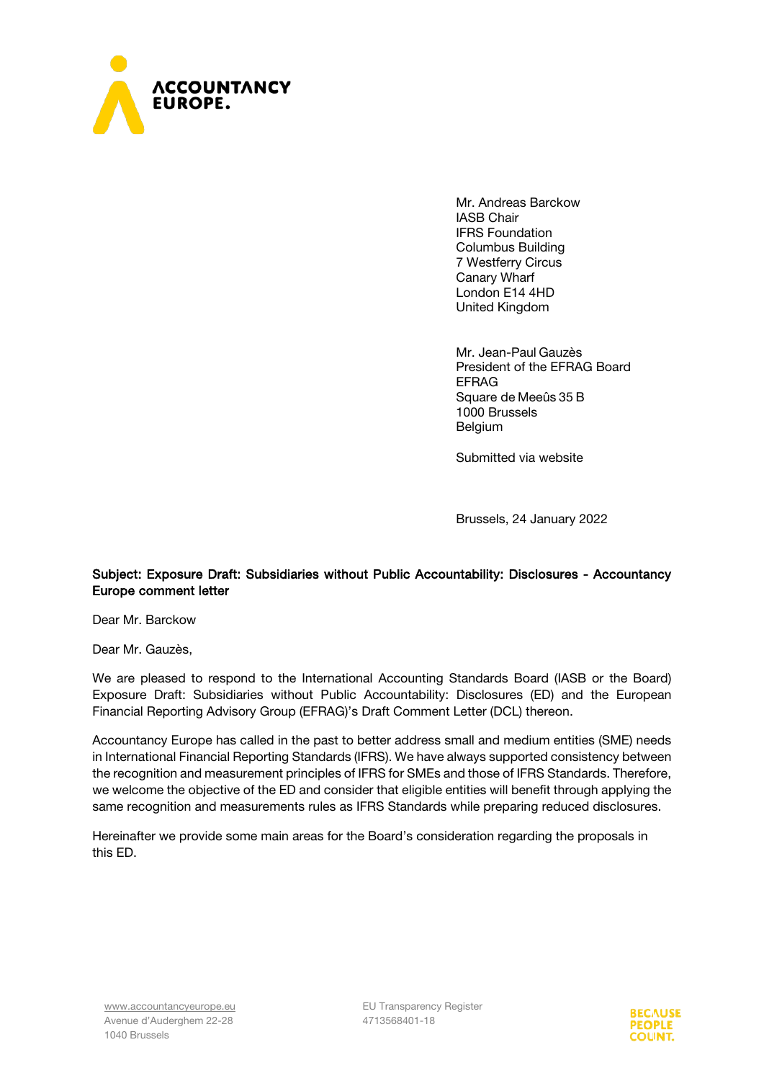

Mr. Andreas Barckow IASB Chair IFRS Foundation Columbus Building 7 Westferry Circus Canary Wharf London E14 4HD United Kingdom

Mr. Jean-Paul Gauzès President of the EFRAG Board EFRAG Square de Meeûs 35 B 1000 Brussels Belgium

Submitted via website

Brussels, 24 January 2022

## Subject: Exposure Draft: Subsidiaries without Public Accountability: Disclosures - Accountancy Europe comment letter

Dear Mr. Barckow

Dear Mr. Gauzès,

We are pleased to respond to the International Accounting Standards Board (IASB or the Board) Exposure Draft: Subsidiaries without Public Accountability: Disclosures (ED) and the European Financial Reporting Advisory Group (EFRAG)'s Draft Comment Letter (DCL) thereon.

Accountancy Europe has called in the past to better address small and medium entities (SME) needs in International Financial Reporting Standards (IFRS). We have always supported consistency between the recognition and measurement principles of IFRS for SMEs and those of IFRS Standards. Therefore, we welcome the objective of the ED and consider that eligible entities will benefit through applying the same recognition and measurements rules as IFRS Standards while preparing reduced disclosures.

Hereinafter we provide some main areas for the Board's consideration regarding the proposals in this ED.

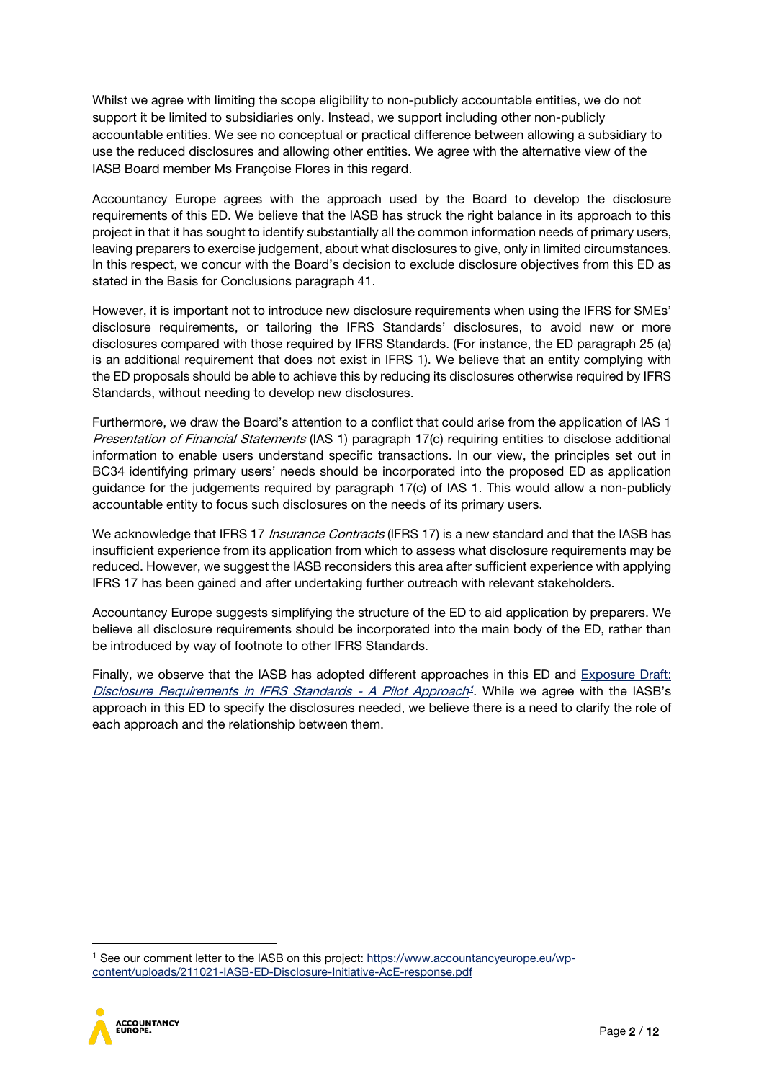Whilst we agree with limiting the scope eligibility to non-publicly accountable entities, we do not support it be limited to subsidiaries only. Instead, we support including other non-publicly accountable entities. We see no conceptual or practical difference between allowing a subsidiary to use the reduced disclosures and allowing other entities. We agree with the alternative view of the IASB Board member Ms Françoise Flores in this regard.

Accountancy Europe agrees with the approach used by the Board to develop the disclosure requirements of this ED. We believe that the IASB has struck the right balance in its approach to this project in that it has sought to identify substantially all the common information needs of primary users, leaving preparers to exercise judgement, about what disclosures to give, only in limited circumstances. In this respect, we concur with the Board's decision to exclude disclosure objectives from this ED as stated in the Basis for Conclusions paragraph 41.

However, it is important not to introduce new disclosure requirements when using the IFRS for SMEs' disclosure requirements, or tailoring the IFRS Standards' disclosures, to avoid new or more disclosures compared with those required by IFRS Standards. (For instance, the ED paragraph 25 (a) is an additional requirement that does not exist in IFRS 1). We believe that an entity complying with the ED proposals should be able to achieve this by reducing its disclosures otherwise required by IFRS Standards, without needing to develop new disclosures.

Furthermore, we draw the Board's attention to a conflict that could arise from the application of IAS 1 Presentation of Financial Statements (IAS 1) paragraph 17(c) requiring entities to disclose additional information to enable users understand specific transactions. In our view, the principles set out in BC34 identifying primary users' needs should be incorporated into the proposed ED as application guidance for the judgements required by paragraph 17(c) of IAS 1. This would allow a non-publicly accountable entity to focus such disclosures on the needs of its primary users.

We acknowledge that IFRS 17 *Insurance Contracts* (IFRS 17) is a new standard and that the IASB has insufficient experience from its application from which to assess what disclosure requirements may be reduced. However, we suggest the IASB reconsiders this area after sufficient experience with applying IFRS 17 has been gained and after undertaking further outreach with relevant stakeholders.

Accountancy Europe suggests simplifying the structure of the ED to aid application by preparers. We believe all disclosure requirements should be incorporated into the main body of the ED, rather than be introduced by way of footnote to other IFRS Standards.

Finally, we observe that the IASB has adopted different approaches in this ED and Exposure Draft: [Disclosure Requirements](https://www.ifrs.org/content/dam/ifrs/project/disclosure-initative/disclosure-initiative-principles-of-disclosure/ed2021-3-di-tslr.pdf) in IFRS Standards - A Pilot Approach<sup>[1](#page-1-0)</sup>. While we agree with the IASB's approach in this ED to specify the disclosures needed, we believe there is a need to clarify the role of each approach and the relationship between them.

<span id="page-1-0"></span><sup>&</sup>lt;sup>1</sup> See our comment letter to the IASB on this project: [https://www.accountancyeurope.eu/wp](https://www.accountancyeurope.eu/wp-content/uploads/211021-IASB-ED-Disclosure-Initiative-AcE-response.pdf)[content/uploads/211021-IASB-ED-Disclosure-Initiative-AcE-response.pdf](https://www.accountancyeurope.eu/wp-content/uploads/211021-IASB-ED-Disclosure-Initiative-AcE-response.pdf)

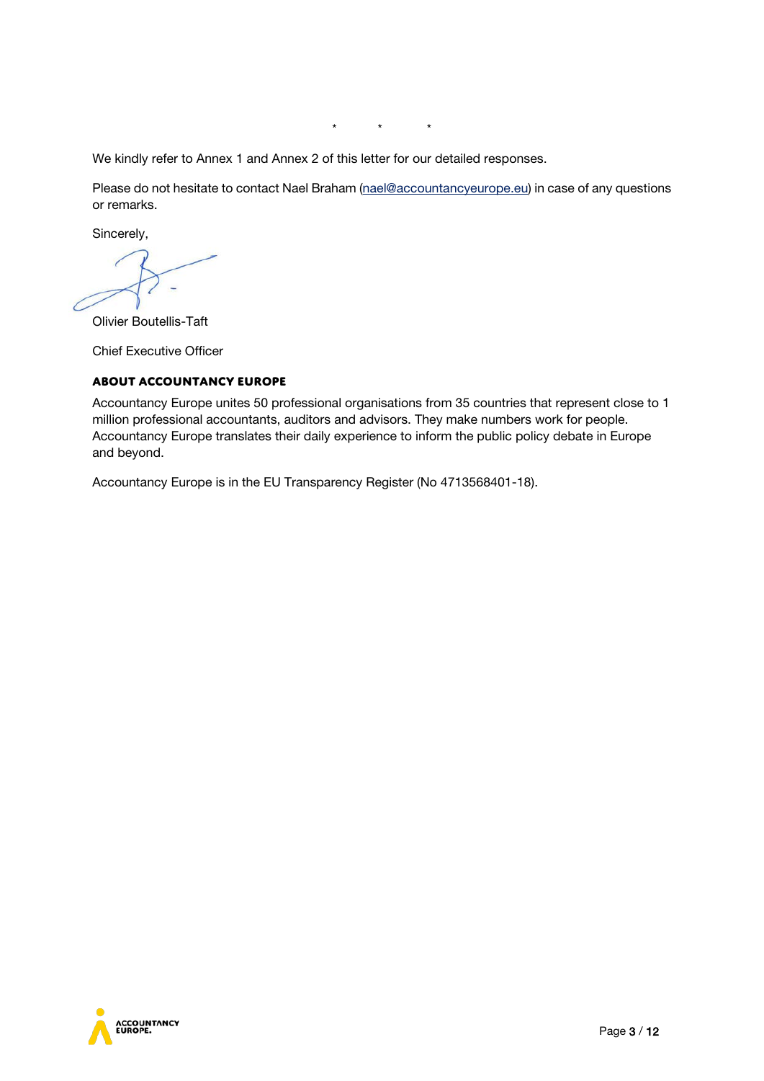\* \* \*

We kindly refer to Annex 1 and Annex 2 of this letter for our detailed responses.

Please do not hesitate to contact Nael Braham [\(nael@accountancyeurope.eu\)](mailto:nael@accountancyeurope.eu) in case of any questions or remarks.

Sincerely,

Olivier Boutellis-Taft

Chief Executive Officer

### **About Accountancy Europe**

Accountancy Europe unites 50 professional organisations from 35 countries that represent close to 1 million professional accountants, auditors and advisors. They make numbers work for people. Accountancy Europe translates their daily experience to inform the public policy debate in Europe and beyond.

Accountancy Europe is in the EU Transparency Register (No 4713568401-18).

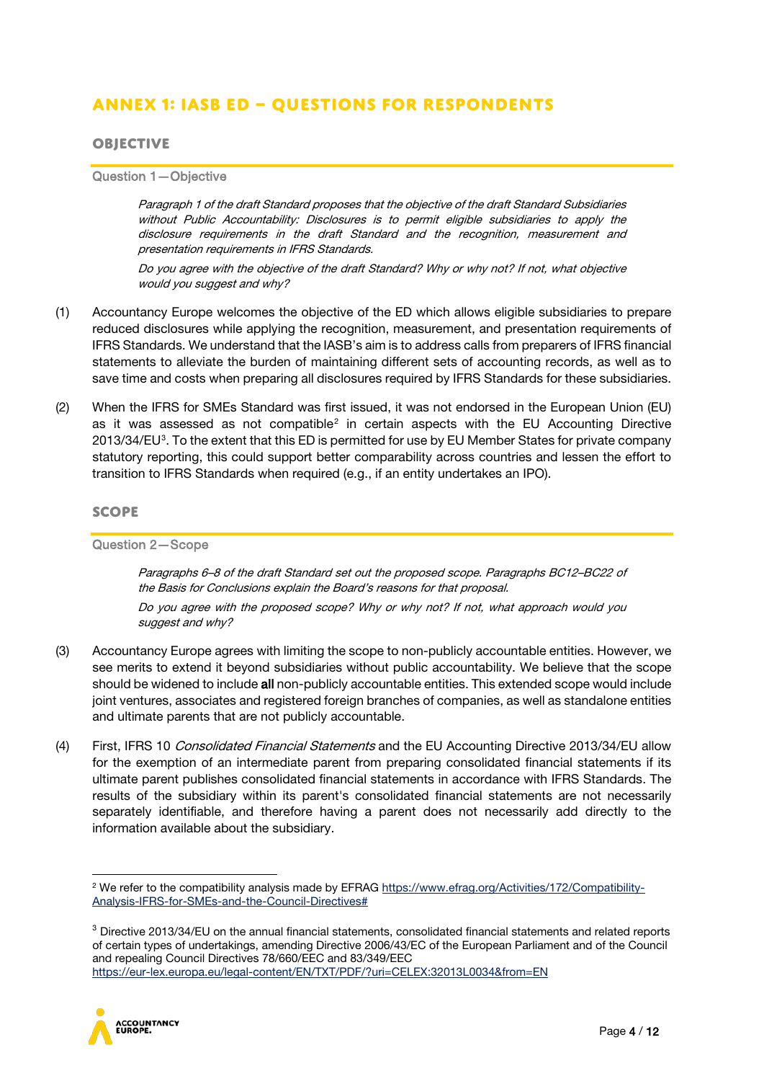# **Annex 1: IASB ED – Questions for respondents**

## **Objective**

Question 1—Objective

Paragraph 1 of the draft Standard proposes that the objective of the draft Standard Subsidiaries without Public Accountability: Disclosures is to permit eligible subsidiaries to apply the disclosure requirements in the draft Standard and the recognition, measurement and presentation requirements in IFRS Standards.

Do you agree with the objective of the draft Standard? Why or why not? If not, what objective would you suggest and why?

- (1) Accountancy Europe welcomes the objective of the ED which allows eligible subsidiaries to prepare reduced disclosures while applying the recognition, measurement, and presentation requirements of IFRS Standards. We understand that the IASB's aim is to address calls from preparers of IFRS financial statements to alleviate the burden of maintaining different sets of accounting records, as well as to save time and costs when preparing all disclosures required by IFRS Standards for these subsidiaries.
- (2) When the IFRS for SMEs Standard was first issued, it was not endorsed in the European Union (EU) as it was assessed as not compatible<sup>[2](#page-3-0)</sup> in certain aspects with the EU Accounting Directive 201[3](#page-3-1)/34/EU<sup>3</sup>. To the extent that this ED is permitted for use by EU Member States for private company statutory reporting, this could support better comparability across countries and lessen the effort to transition to IFRS Standards when required (e.g., if an entity undertakes an IPO).

#### **Scope**

Question 2—Scope

Paragraphs 6–8 of the draft Standard set out the proposed scope. Paragraphs BC12–BC22 of the Basis for Conclusions explain the Board's reasons for that proposal.

Do you agree with the proposed scope? Why or why not? If not, what approach would you suggest and why?

- (3) Accountancy Europe agrees with limiting the scope to non-publicly accountable entities. However, we see merits to extend it beyond subsidiaries without public accountability. We believe that the scope should be widened to include all non-publicly accountable entities. This extended scope would include joint ventures, associates and registered foreign branches of companies, as well as standalone entities and ultimate parents that are not publicly accountable.
- (4) First, IFRS 10 Consolidated Financial Statements and the EU Accounting Directive 2013/34/EU allow for the exemption of an intermediate parent from preparing consolidated financial statements if its ultimate parent publishes consolidated financial statements in accordance with IFRS Standards. The results of the subsidiary within its parent's consolidated financial statements are not necessarily separately identifiable, and therefore having a parent does not necessarily add directly to the information available about the subsidiary.

<span id="page-3-1"></span><sup>&</sup>lt;sup>3</sup> Directive 2013/34/EU on the annual financial statements, consolidated financial statements and related reports of certain types of undertakings, amending Directive 2006/43/EC of the European Parliament and of the Council and repealing Council Directives 78/660/EEC and 83/349/EEC <https://eur-lex.europa.eu/legal-content/EN/TXT/PDF/?uri=CELEX:32013L0034&from=EN>



<span id="page-3-0"></span><sup>&</sup>lt;sup>2</sup> We refer to the compatibility analysis made by EFRAG [https://www.efrag.org/Activities/172/Compatibility-](https://www.efrag.org/Activities/172/Compatibility-Analysis-IFRS-for-SMEs-and-the-Council-Directives)[Analysis-IFRS-for-SMEs-and-the-Council-Directives#](https://www.efrag.org/Activities/172/Compatibility-Analysis-IFRS-for-SMEs-and-the-Council-Directives)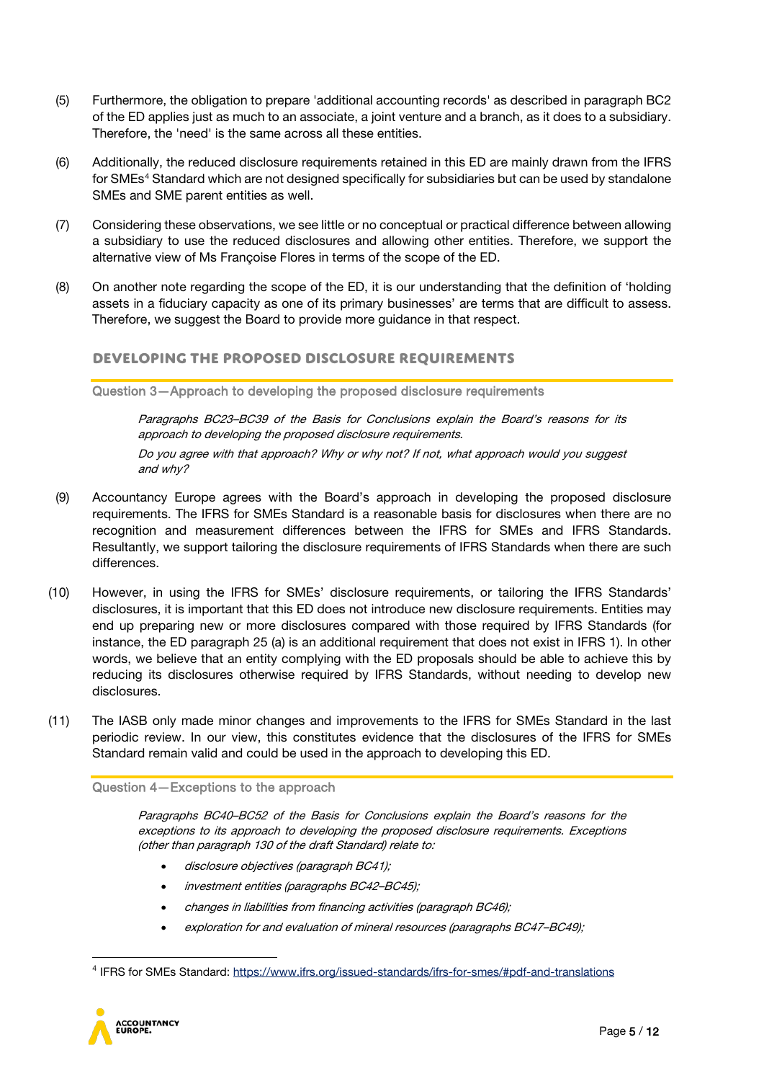- (5) Furthermore, the obligation to prepare 'additional accounting records' as described in paragraph BC2 of the ED applies just as much to an associate, a joint venture and a branch, as it does to a subsidiary. Therefore, the 'need' is the same across all these entities.
- (6) Additionally, the reduced disclosure requirements retained in this ED are mainly drawn from the IFRS for SMEs<sup>[4](#page-4-0)</sup> Standard which are not designed specifically for subsidiaries but can be used by standalone SMEs and SME parent entities as well.
- (7) Considering these observations, we see little or no conceptual or practical difference between allowing a subsidiary to use the reduced disclosures and allowing other entities. Therefore, we support the alternative view of Ms Françoise Flores in terms of the scope of the ED.
- (8) On another note regarding the scope of the ED, it is our understanding that the definition of 'holding assets in a fiduciary capacity as one of its primary businesses' are terms that are difficult to assess. Therefore, we suggest the Board to provide more guidance in that respect.

## **Developing the proposed disclosure requirements**

Question 3—Approach to developing the proposed disclosure requirements

Paragraphs BC23–BC39 of the Basis for Conclusions explain the Board's reasons for its approach to developing the proposed disclosure requirements. Do you agree with that approach? Why or why not? If not, what approach would you suggest and why?

- (9) Accountancy Europe agrees with the Board's approach in developing the proposed disclosure requirements. The IFRS for SMEs Standard is a reasonable basis for disclosures when there are no recognition and measurement differences between the IFRS for SMEs and IFRS Standards. Resultantly, we support tailoring the disclosure requirements of IFRS Standards when there are such differences.
- (10) However, in using the IFRS for SMEs' disclosure requirements, or tailoring the IFRS Standards' disclosures, it is important that this ED does not introduce new disclosure requirements. Entities may end up preparing new or more disclosures compared with those required by IFRS Standards (for instance, the ED paragraph 25 (a) is an additional requirement that does not exist in IFRS 1). In other words, we believe that an entity complying with the ED proposals should be able to achieve this by reducing its disclosures otherwise required by IFRS Standards, without needing to develop new disclosures.
- (11) The IASB only made minor changes and improvements to the IFRS for SMEs Standard in the last periodic review. In our view, this constitutes evidence that the disclosures of the IFRS for SMEs Standard remain valid and could be used in the approach to developing this ED.

#### Question 4—Exceptions to the approach

Paragraphs BC40–BC52 of the Basis for Conclusions explain the Board's reasons for the exceptions to its approach to developing the proposed disclosure requirements. Exceptions (other than paragraph 130 of the draft Standard) relate to:

- disclosure objectives (paragraph BC41);
- investment entities (paragraphs BC42–BC45);
- changes in liabilities from financing activities (paragraph BC46);
- exploration for and evaluation of mineral resources (paragraphs BC47–BC49);

<span id="page-4-0"></span><sup>4</sup> IFRS for SMEs Standard[: https://www.ifrs.org/issued-standards/ifrs-for-smes/#pdf-and-translations](https://www.ifrs.org/issued-standards/ifrs-for-smes/#pdf-and-translations)

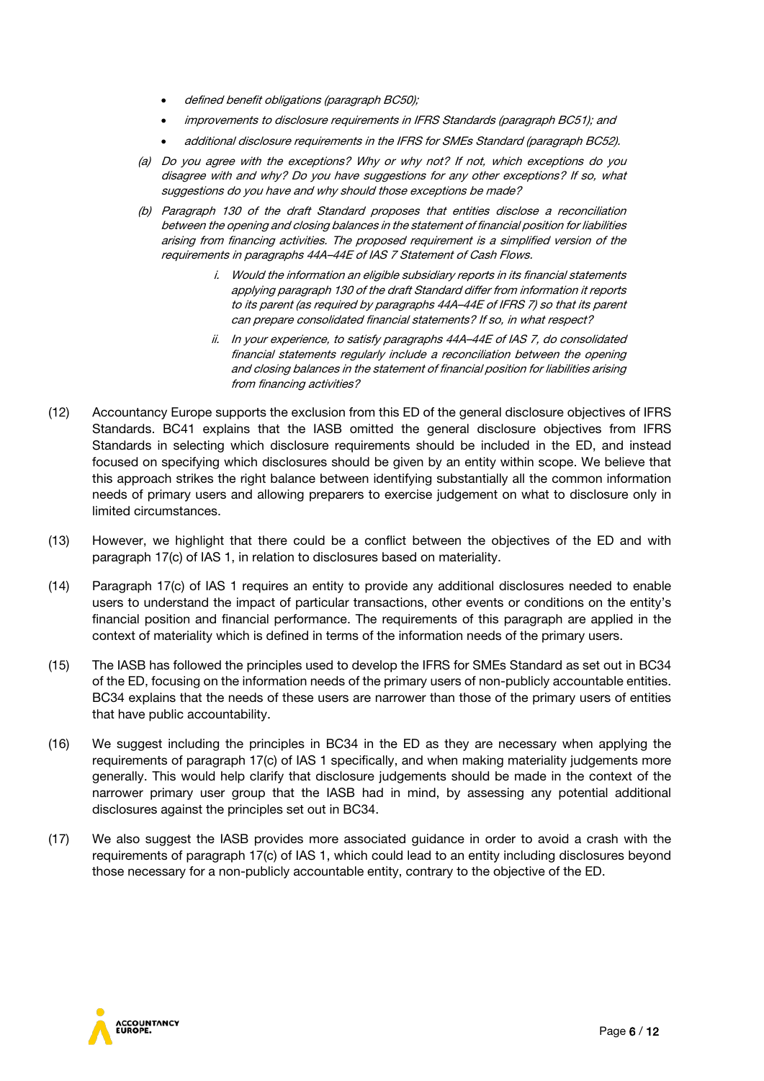- defined benefit obligations (paragraph BC50);
- improvements to disclosure requirements in IFRS Standards (paragraph BC51); and
- additional disclosure requirements in the IFRS for SMEs Standard (paragraph BC52).
- (a) Do you agree with the exceptions? Why or why not? If not, which exceptions do you disagree with and why? Do you have suggestions for any other exceptions? If so, what suggestions do you have and why should those exceptions be made?
- (b) Paragraph 130 of the draft Standard proposes that entities disclose a reconciliation between the opening and closing balances in the statement of financial position for liabilities arising from financing activities. The proposed requirement is a simplified version of the requirements in paragraphs 44A–44E of IAS 7 Statement of Cash Flows.
	- i. Would the information an eligible subsidiary reports in its financial statements applying paragraph 130 of the draft Standard differ from information it reports to its parent (as required by paragraphs 44A–44E of IFRS 7) so that its parent can prepare consolidated financial statements? If so, in what respect?
	- ii. In your experience, to satisfy paragraphs 44A–44E of IAS 7, do consolidated financial statements regularly include a reconciliation between the opening and closing balances in the statement of financial position for liabilities arising from financing activities?
- (12) Accountancy Europe supports the exclusion from this ED of the general disclosure objectives of IFRS Standards. BC41 explains that the IASB omitted the general disclosure objectives from IFRS Standards in selecting which disclosure requirements should be included in the ED, and instead focused on specifying which disclosures should be given by an entity within scope. We believe that this approach strikes the right balance between identifying substantially all the common information needs of primary users and allowing preparers to exercise judgement on what to disclosure only in limited circumstances.
- (13) However, we highlight that there could be a conflict between the objectives of the ED and with paragraph 17(c) of IAS 1, in relation to disclosures based on materiality.
- (14) Paragraph 17(c) of IAS 1 requires an entity to provide any additional disclosures needed to enable users to understand the impact of particular transactions, other events or conditions on the entity's financial position and financial performance. The requirements of this paragraph are applied in the context of materiality which is defined in terms of the information needs of the primary users.
- (15) The IASB has followed the principles used to develop the IFRS for SMEs Standard as set out in BC34 of the ED, focusing on the information needs of the primary users of non-publicly accountable entities. BC34 explains that the needs of these users are narrower than those of the primary users of entities that have public accountability.
- (16) We suggest including the principles in BC34 in the ED as they are necessary when applying the requirements of paragraph 17(c) of IAS 1 specifically, and when making materiality judgements more generally. This would help clarify that disclosure judgements should be made in the context of the narrower primary user group that the IASB had in mind, by assessing any potential additional disclosures against the principles set out in BC34.
- (17) We also suggest the IASB provides more associated guidance in order to avoid a crash with the requirements of paragraph 17(c) of IAS 1, which could lead to an entity including disclosures beyond those necessary for a non-publicly accountable entity, contrary to the objective of the ED.

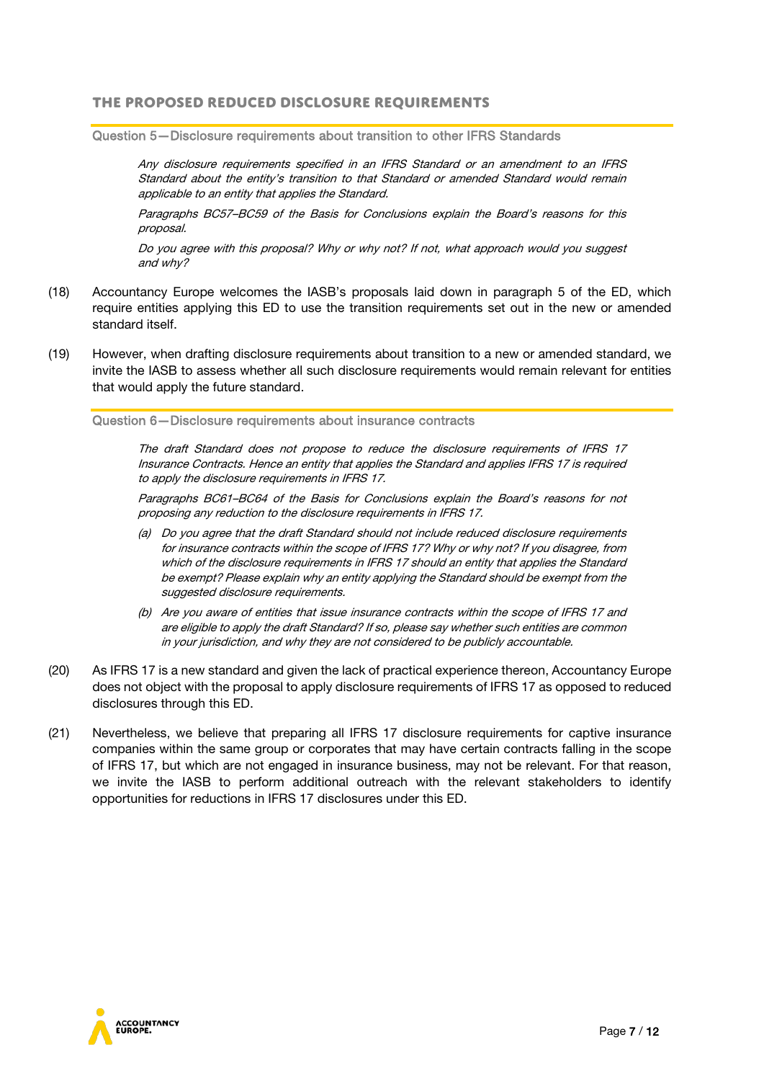## **The proposed reduced disclosure requirements**

Question 5—Disclosure requirements about transition to other IFRS Standards

Any disclosure requirements specified in an IFRS Standard or an amendment to an IFRS Standard about the entity's transition to that Standard or amended Standard would remain applicable to an entity that applies the Standard.

Paragraphs BC57–BC59 of the Basis for Conclusions explain the Board's reasons for this proposal.

Do you agree with this proposal? Why or why not? If not, what approach would you suggest and why?

- (18) Accountancy Europe welcomes the IASB's proposals laid down in paragraph 5 of the ED, which require entities applying this ED to use the transition requirements set out in the new or amended standard itself.
- (19) However, when drafting disclosure requirements about transition to a new or amended standard, we invite the IASB to assess whether all such disclosure requirements would remain relevant for entities that would apply the future standard.

Question 6—Disclosure requirements about insurance contracts

The draft Standard does not propose to reduce the disclosure requirements of IFRS 17 Insurance Contracts. Hence an entity that applies the Standard and applies IFRS 17 is required to apply the disclosure requirements in IFRS 17.

Paragraphs BC61–BC64 of the Basis for Conclusions explain the Board's reasons for not proposing any reduction to the disclosure requirements in IFRS 17.

- (a) Do you agree that the draft Standard should not include reduced disclosure requirements for insurance contracts within the scope of IFRS 17? Why or why not? If you disagree, from which of the disclosure requirements in IFRS 17 should an entity that applies the Standard be exempt? Please explain why an entity applying the Standard should be exempt from the suggested disclosure requirements.
- (b) Are you aware of entities that issue insurance contracts within the scope of IFRS 17 and are eligible to apply the draft Standard? If so, please say whether such entities are common in your jurisdiction, and why they are not considered to be publicly accountable.
- (20) As IFRS 17 is a new standard and given the lack of practical experience thereon, Accountancy Europe does not object with the proposal to apply disclosure requirements of IFRS 17 as opposed to reduced disclosures through this ED.
- (21) Nevertheless, we believe that preparing all IFRS 17 disclosure requirements for captive insurance companies within the same group or corporates that may have certain contracts falling in the scope of IFRS 17, but which are not engaged in insurance business, may not be relevant. For that reason, we invite the IASB to perform additional outreach with the relevant stakeholders to identify opportunities for reductions in IFRS 17 disclosures under this ED.

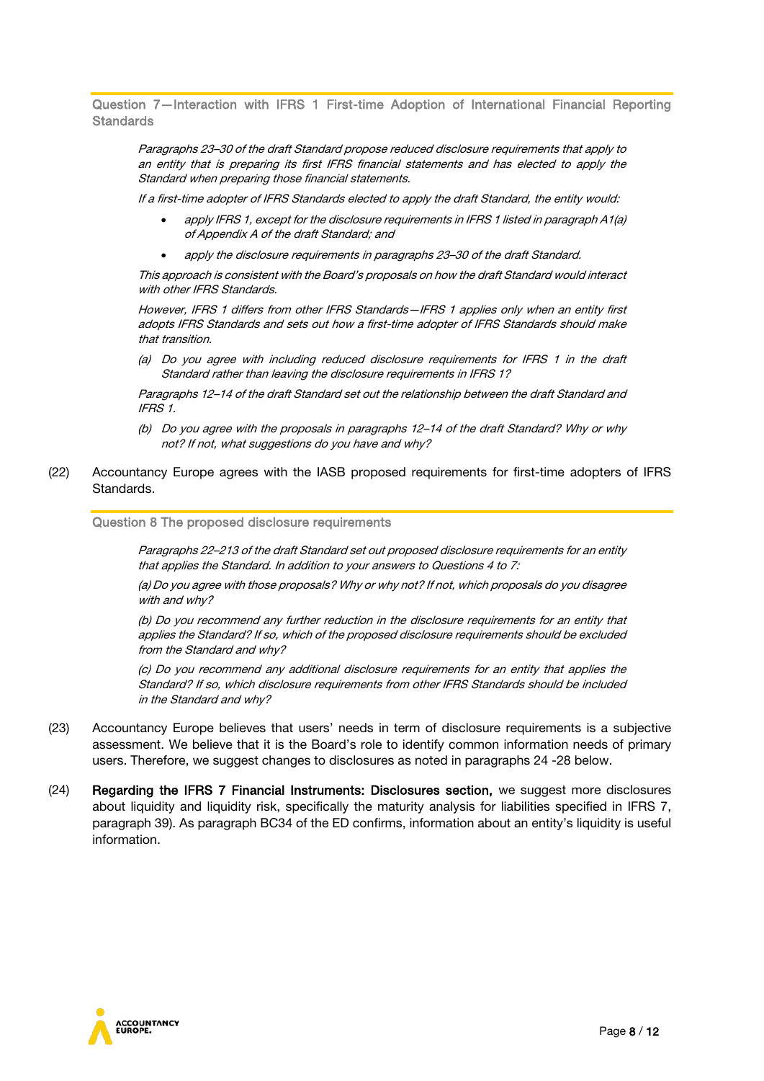Question 7—Interaction with IFRS 1 First-time Adoption of International Financial Reporting **Standards** 

Paragraphs 23–30 of the draft Standard propose reduced disclosure requirements that apply to an entity that is preparing its first IFRS financial statements and has elected to apply the Standard when preparing those financial statements.

If a first-time adopter of IFRS Standards elected to apply the draft Standard, the entity would:

- apply IFRS 1, except for the disclosure requirements in IFRS 1 listed in paragraph A1(a) of Appendix A of the draft Standard; and
- apply the disclosure requirements in paragraphs 23–30 of the draft Standard.

This approach is consistent with the Board's proposals on how the draft Standard would interact with other IFRS Standards.

However, IFRS 1 differs from other IFRS Standards—IFRS 1 applies only when an entity first adopts IFRS Standards and sets out how a first-time adopter of IFRS Standards should make that transition.

(a) Do you agree with including reduced disclosure requirements for IFRS 1 in the draft Standard rather than leaving the disclosure requirements in IFRS 1?

Paragraphs 12–14 of the draft Standard set out the relationship between the draft Standard and IFRS 1.

- (b) Do you agree with the proposals in paragraphs 12–14 of the draft Standard? Why or why not? If not, what suggestions do you have and why?
- (22) Accountancy Europe agrees with the IASB proposed requirements for first-time adopters of IFRS Standards.

#### Question 8 The proposed disclosure requirements

Paragraphs 22–213 of the draft Standard set out proposed disclosure requirements for an entity that applies the Standard. In addition to your answers to Questions 4 to 7:

(a) Do you agree with those proposals? Why or why not? If not, which proposals do you disagree with and why?

(b) Do you recommend any further reduction in the disclosure requirements for an entity that applies the Standard? If so, which of the proposed disclosure requirements should be excluded from the Standard and why?

(c) Do you recommend any additional disclosure requirements for an entity that applies the Standard? If so, which disclosure requirements from other IFRS Standards should be included in the Standard and why?

- (23) Accountancy Europe believes that users' needs in term of disclosure requirements is a subjective assessment. We believe that it is the Board's role to identify common information needs of primary users. Therefore, we suggest changes to disclosures as noted in paragraphs 24 -28 below.
- (24) Regarding the IFRS 7 Financial Instruments: Disclosures section, we suggest more disclosures about liquidity and liquidity risk, specifically the maturity analysis for liabilities specified in IFRS 7, paragraph 39). As paragraph BC34 of the ED confirms, information about an entity's liquidity is useful information.

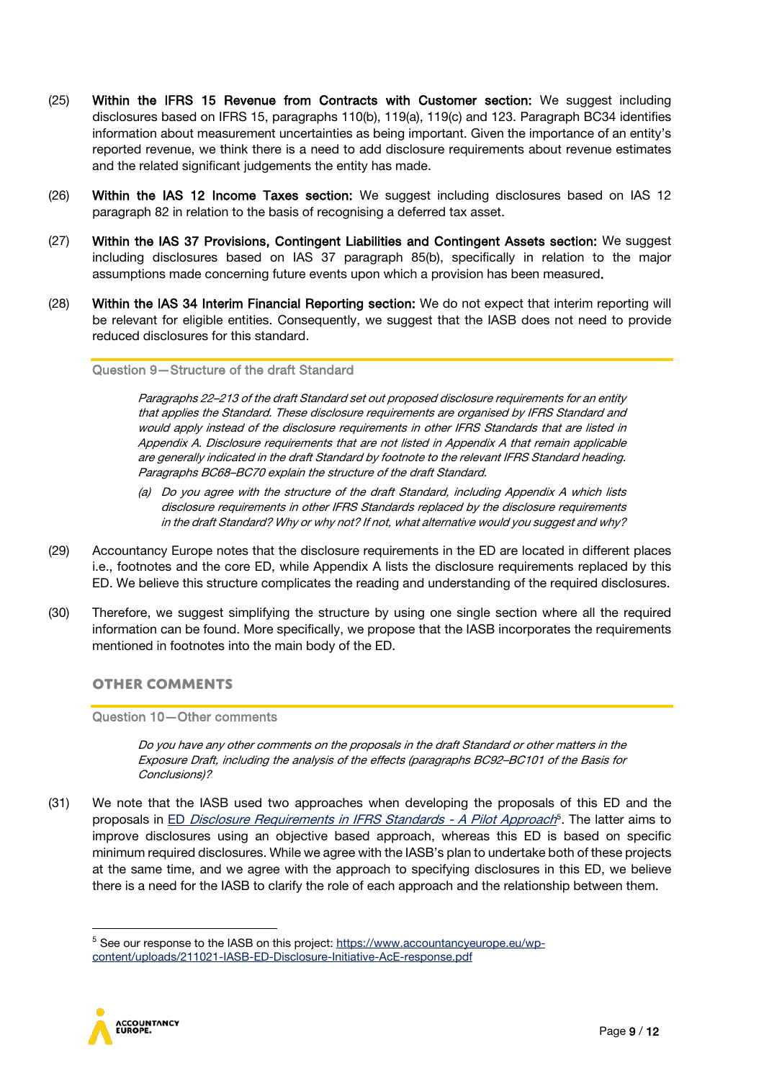- (25) Within the IFRS 15 Revenue from Contracts with Customer section: We suggest including disclosures based on IFRS 15, paragraphs 110(b), 119(a), 119(c) and 123. Paragraph BC34 identifies information about measurement uncertainties as being important. Given the importance of an entity's reported revenue, we think there is a need to add disclosure requirements about revenue estimates and the related significant judgements the entity has made.
- (26) Within the IAS 12 Income Taxes section: We suggest including disclosures based on IAS 12 paragraph 82 in relation to the basis of recognising a deferred tax asset.
- (27) Within the IAS 37 Provisions, Contingent Liabilities and Contingent Assets section: We suggest including disclosures based on IAS 37 paragraph 85(b), specifically in relation to the major assumptions made concerning future events upon which a provision has been measured.
- (28) Within the IAS 34 Interim Financial Reporting section: We do not expect that interim reporting will be relevant for eligible entities. Consequently, we suggest that the IASB does not need to provide reduced disclosures for this standard.

#### Question 9—Structure of the draft Standard

Paragraphs 22–213 of the draft Standard set out proposed disclosure requirements for an entity that applies the Standard. These disclosure requirements are organised by IFRS Standard and would apply instead of the disclosure requirements in other IFRS Standards that are listed in Appendix A. Disclosure requirements that are not listed in Appendix A that remain applicable are generally indicated in the draft Standard by footnote to the relevant IFRS Standard heading. Paragraphs BC68–BC70 explain the structure of the draft Standard.

- (a) Do you agree with the structure of the draft Standard, including Appendix A which lists disclosure requirements in other IFRS Standards replaced by the disclosure requirements in the draft Standard? Why or why not? If not, what alternative would you suggest and why?
- (29) Accountancy Europe notes that the disclosure requirements in the ED are located in different places i.e., footnotes and the core ED, while Appendix A lists the disclosure requirements replaced by this ED. We believe this structure complicates the reading and understanding of the required disclosures.
- (30) Therefore, we suggest simplifying the structure by using one single section where all the required information can be found. More specifically, we propose that the IASB incorporates the requirements mentioned in footnotes into the main body of the ED.

### **Other comments**

Question 10—Other comments

Do you have any other comments on the proposals in the draft Standard or other matters in the Exposure Draft, including the analysis of the effects (paragraphs BC92–BC101 of the Basis for Conclusions)?

(31) We note that the IASB used two approaches when developing the proposals of this ED and the proposals in ED [Disclosure Requirements in IFRS Standards -](https://www.ifrs.org/content/dam/ifrs/project/disclosure-initative/disclosure-initiative-principles-of-disclosure/ed2021-3-di-tslr.pdf) A Pilot Approach<sup>[5](#page-8-0)</sup>. The latter aims to improve disclosures using an objective based approach, whereas this ED is based on specific minimum required disclosures. While we agree with the IASB's plan to undertake both of these projects at the same time, and we agree with the approach to specifying disclosures in this ED, we believe there is a need for the IASB to clarify the role of each approach and the relationship between them.

<span id="page-8-0"></span><sup>&</sup>lt;sup>5</sup> See our response to the IASB on this project: [https://www.accountancyeurope.eu/wp](https://www.accountancyeurope.eu/wp-content/uploads/211021-IASB-ED-Disclosure-Initiative-AcE-response.pdf)[content/uploads/211021-IASB-ED-Disclosure-Initiative-AcE-response.pdf](https://www.accountancyeurope.eu/wp-content/uploads/211021-IASB-ED-Disclosure-Initiative-AcE-response.pdf)

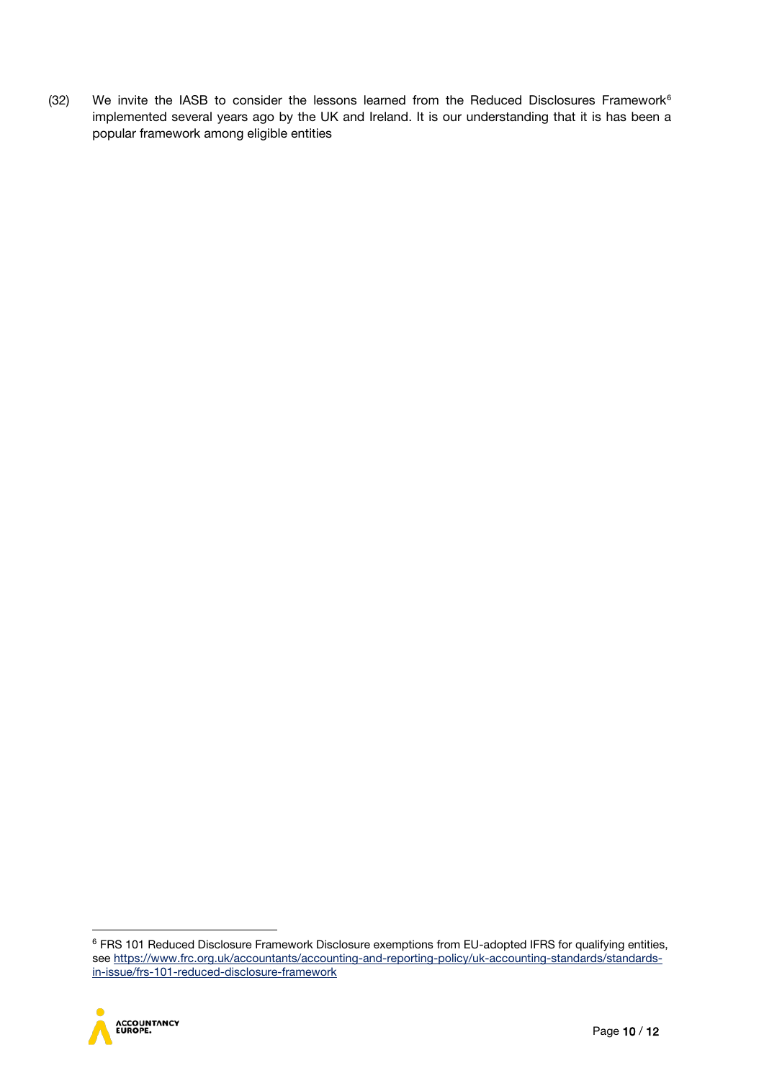(32) We invite the IASB to consider the lessons learned from the Reduced Disclosures Framework $6$ implemented several years ago by the UK and Ireland. It is our understanding that it is has been a popular framework among eligible entities

<span id="page-9-0"></span><sup>&</sup>lt;sup>6</sup> FRS 101 Reduced Disclosure Framework Disclosure exemptions from EU-adopted IFRS for qualifying entities, se[e https://www.frc.org.uk/accountants/accounting-and-reporting-policy/uk-accounting-standards/standards](https://www.frc.org.uk/accountants/accounting-and-reporting-policy/uk-accounting-standards/standards-in-issue/frs-101-reduced-disclosure-framework)[in-issue/frs-101-reduced-disclosure-framework](https://www.frc.org.uk/accountants/accounting-and-reporting-policy/uk-accounting-standards/standards-in-issue/frs-101-reduced-disclosure-framework)

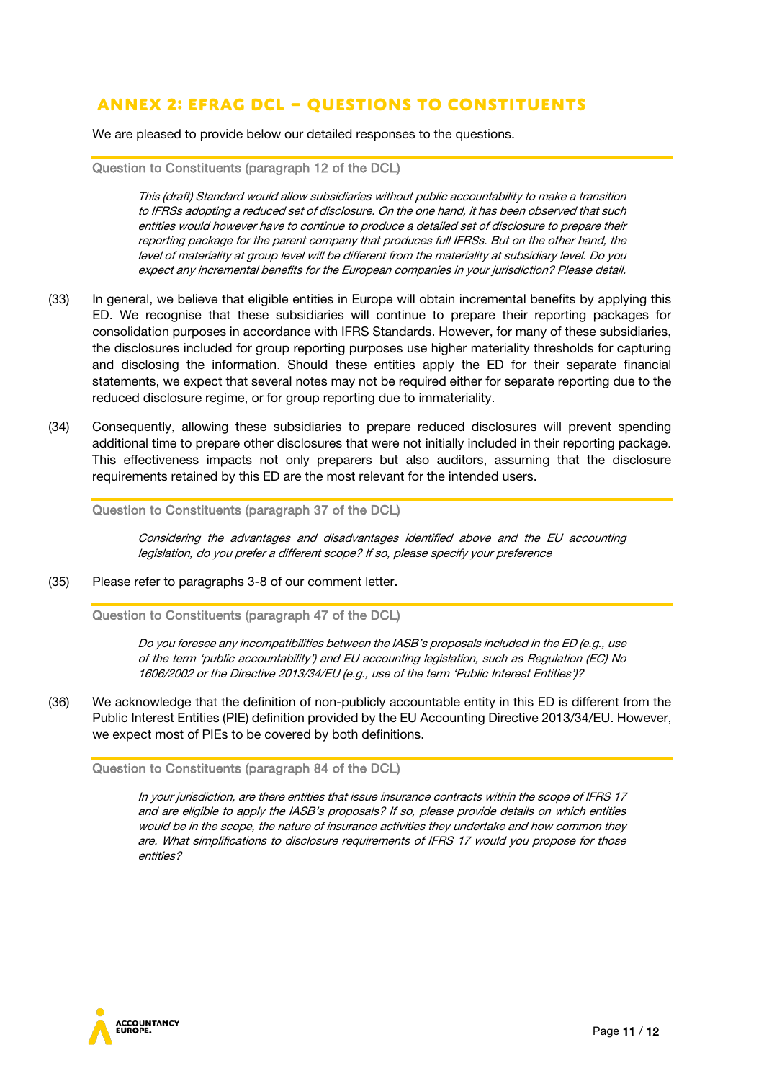## **Annex 2: EFRAG DCL – Questions to constituents**

We are pleased to provide below our detailed responses to the questions.

#### Question to Constituents (paragraph 12 of the DCL)

This (draft) Standard would allow subsidiaries without public accountability to make a transition to IFRSs adopting a reduced set of disclosure. On the one hand, it has been observed that such entities would however have to continue to produce a detailed set of disclosure to prepare their reporting package for the parent company that produces full IFRSs. But on the other hand, the level of materiality at group level will be different from the materiality at subsidiary level. Do you expect any incremental benefits for the European companies in your jurisdiction? Please detail.

- (33) In general, we believe that eligible entities in Europe will obtain incremental benefits by applying this ED. We recognise that these subsidiaries will continue to prepare their reporting packages for consolidation purposes in accordance with IFRS Standards. However, for many of these subsidiaries, the disclosures included for group reporting purposes use higher materiality thresholds for capturing and disclosing the information. Should these entities apply the ED for their separate financial statements, we expect that several notes may not be required either for separate reporting due to the reduced disclosure regime, or for group reporting due to immateriality.
- (34) Consequently, allowing these subsidiaries to prepare reduced disclosures will prevent spending additional time to prepare other disclosures that were not initially included in their reporting package. This effectiveness impacts not only preparers but also auditors, assuming that the disclosure requirements retained by this ED are the most relevant for the intended users.

Question to Constituents (paragraph 37 of the DCL)

Considering the advantages and disadvantages identified above and the EU accounting legislation, do you prefer a different scope? If so, please specify your preference

(35) Please refer to paragraphs 3-8 of our comment letter.

Question to Constituents (paragraph 47 of the DCL)

Do you foresee any incompatibilities between the IASB's proposals included in the ED (e.g., use of the term 'public accountability') and EU accounting legislation, such as Regulation (EC) No 1606/2002 or the Directive 2013/34/EU (e.g., use of the term 'Public Interest Entities')?

(36) We acknowledge that the definition of non-publicly accountable entity in this ED is different from the Public Interest Entities (PIE) definition provided by the EU Accounting Directive 2013/34/EU. However, we expect most of PIEs to be covered by both definitions.

Question to Constituents (paragraph 84 of the DCL)

In your jurisdiction, are there entities that issue insurance contracts within the scope of IFRS 17 and are eligible to apply the IASB's proposals? If so, please provide details on which entities would be in the scope, the nature of insurance activities they undertake and how common they are. What simplifications to disclosure requirements of IFRS 17 would you propose for those entities?